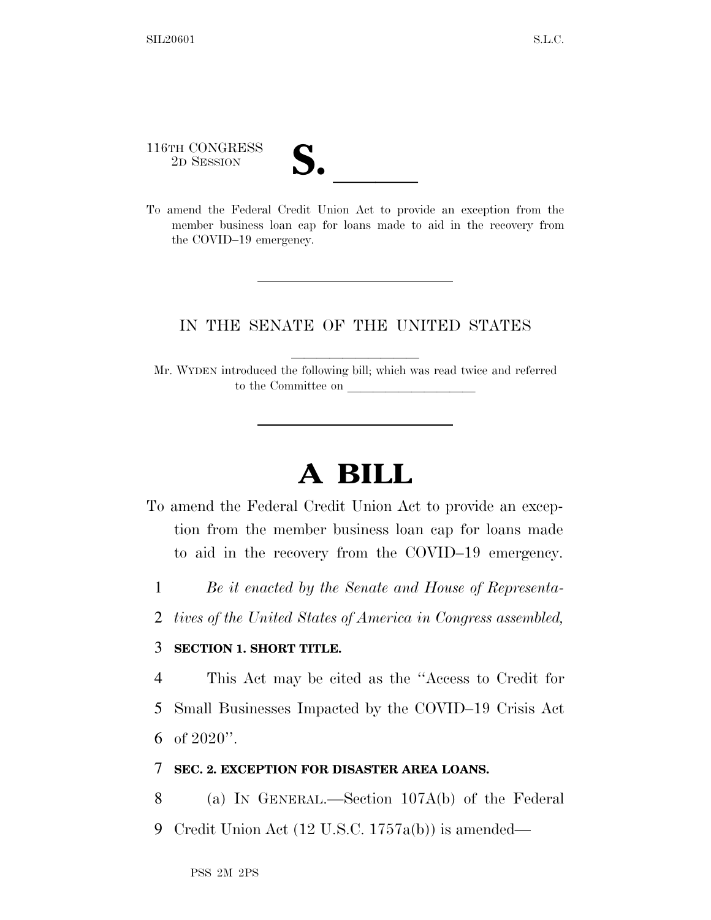116TH CONGRESS 116TH CONGRESS<br>
2D SESSION<br>
To amend the Federal Credit Union Act to provide an exception from the

member business loan cap for loans made to aid in the recovery from the COVID–19 emergency.

## IN THE SENATE OF THE UNITED STATES

Mr. WYDEN introduced the following bill; which was read twice and referred to the Committee on

## **A BILL**

- To amend the Federal Credit Union Act to provide an exception from the member business loan cap for loans made to aid in the recovery from the COVID–19 emergency.
	- 1 *Be it enacted by the Senate and House of Representa-*
	- 2 *tives of the United States of America in Congress assembled,*

## 3 **SECTION 1. SHORT TITLE.**

4 This Act may be cited as the ''Access to Credit for

- 5 Small Businesses Impacted by the COVID–19 Crisis Act
- 6 of  $2020$ ".

## 7 **SEC. 2. EXCEPTION FOR DISASTER AREA LOANS.**

- 8 (a) IN GENERAL.—Section 107A(b) of the Federal
- 9 Credit Union Act (12 U.S.C. 1757a(b)) is amended—